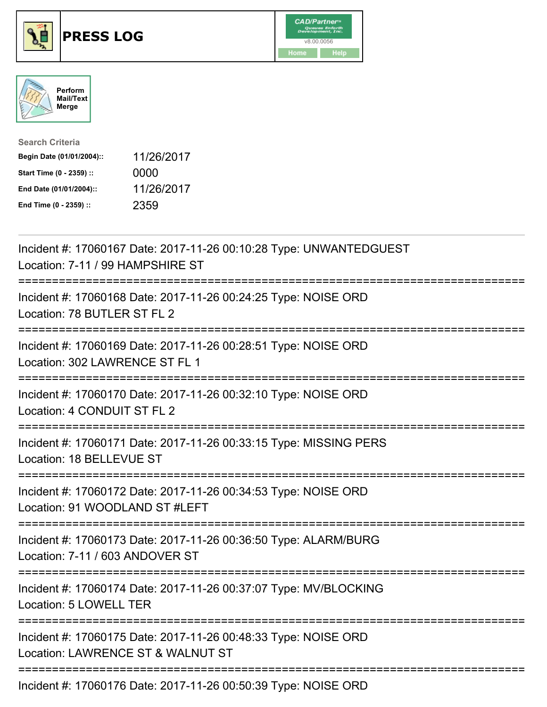





| <b>Search Criteria</b>    |            |
|---------------------------|------------|
| Begin Date (01/01/2004):: | 11/26/2017 |
| Start Time (0 - 2359) ::  | 0000       |
| End Date (01/01/2004)::   | 11/26/2017 |
| End Time (0 - 2359) ::    | 2359       |

| Incident #: 17060167 Date: 2017-11-26 00:10:28 Type: UNWANTEDGUEST<br>Location: 7-11 / 99 HAMPSHIRE ST            |
|-------------------------------------------------------------------------------------------------------------------|
| Incident #: 17060168 Date: 2017-11-26 00:24:25 Type: NOISE ORD<br>Location: 78 BUTLER ST FL 2                     |
| Incident #: 17060169 Date: 2017-11-26 00:28:51 Type: NOISE ORD<br>Location: 302 LAWRENCE ST FL 1                  |
| Incident #: 17060170 Date: 2017-11-26 00:32:10 Type: NOISE ORD<br>Location: 4 CONDUIT ST FL 2                     |
| Incident #: 17060171 Date: 2017-11-26 00:33:15 Type: MISSING PERS<br>Location: 18 BELLEVUE ST                     |
| Incident #: 17060172 Date: 2017-11-26 00:34:53 Type: NOISE ORD<br>Location: 91 WOODLAND ST #LEFT                  |
| Incident #: 17060173 Date: 2017-11-26 00:36:50 Type: ALARM/BURG<br>Location: 7-11 / 603 ANDOVER ST<br>----------  |
| Incident #: 17060174 Date: 2017-11-26 00:37:07 Type: MV/BLOCKING<br>Location: 5 LOWELL TER<br>------------------- |
| Incident #: 17060175 Date: 2017-11-26 00:48:33 Type: NOISE ORD<br>Location: LAWRENCE ST & WALNUT ST               |
| Incident #: 17060176 Date: 2017-11-26 00:50:39 Type: NOISE ORD                                                    |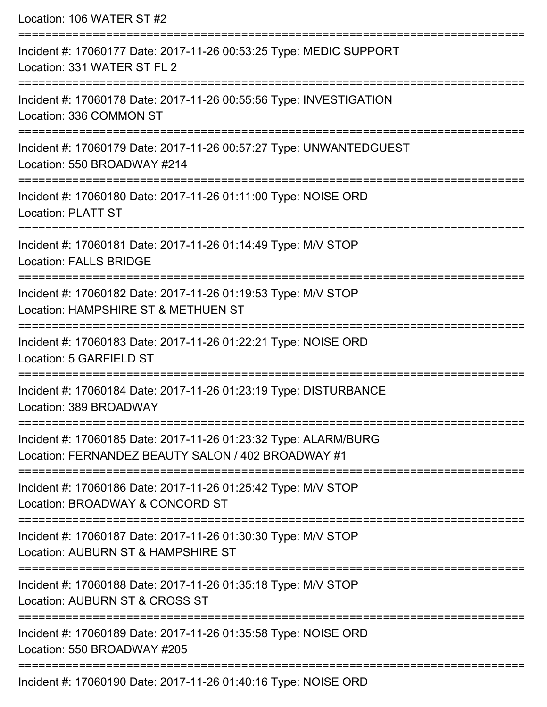| Location: 106 WATER ST #2                                                                                             |
|-----------------------------------------------------------------------------------------------------------------------|
| Incident #: 17060177 Date: 2017-11-26 00:53:25 Type: MEDIC SUPPORT<br>Location: 331 WATER ST FL 2                     |
| Incident #: 17060178 Date: 2017-11-26 00:55:56 Type: INVESTIGATION<br>Location: 336 COMMON ST                         |
| Incident #: 17060179 Date: 2017-11-26 00:57:27 Type: UNWANTEDGUEST<br>Location: 550 BROADWAY #214                     |
| Incident #: 17060180 Date: 2017-11-26 01:11:00 Type: NOISE ORD<br><b>Location: PLATT ST</b>                           |
| Incident #: 17060181 Date: 2017-11-26 01:14:49 Type: M/V STOP<br><b>Location: FALLS BRIDGE</b>                        |
| Incident #: 17060182 Date: 2017-11-26 01:19:53 Type: M/V STOP<br>Location: HAMPSHIRE ST & METHUEN ST                  |
| ===============<br>Incident #: 17060183 Date: 2017-11-26 01:22:21 Type: NOISE ORD<br>Location: 5 GARFIELD ST          |
| Incident #: 17060184 Date: 2017-11-26 01:23:19 Type: DISTURBANCE<br>Location: 389 BROADWAY                            |
| Incident #: 17060185 Date: 2017-11-26 01:23:32 Type: ALARM/BURG<br>Location: FERNANDEZ BEAUTY SALON / 402 BROADWAY #1 |
| Incident #: 17060186 Date: 2017-11-26 01:25:42 Type: M/V STOP<br>Location: BROADWAY & CONCORD ST                      |
| Incident #: 17060187 Date: 2017-11-26 01:30:30 Type: M/V STOP<br>Location: AUBURN ST & HAMPSHIRE ST                   |
| Incident #: 17060188 Date: 2017-11-26 01:35:18 Type: M/V STOP<br>Location: AUBURN ST & CROSS ST                       |
| Incident #: 17060189 Date: 2017-11-26 01:35:58 Type: NOISE ORD<br>Location: 550 BROADWAY #205                         |
| Incident #: 17060190 Date: 2017-11-26 01:40:16 Type: NOISE ORD                                                        |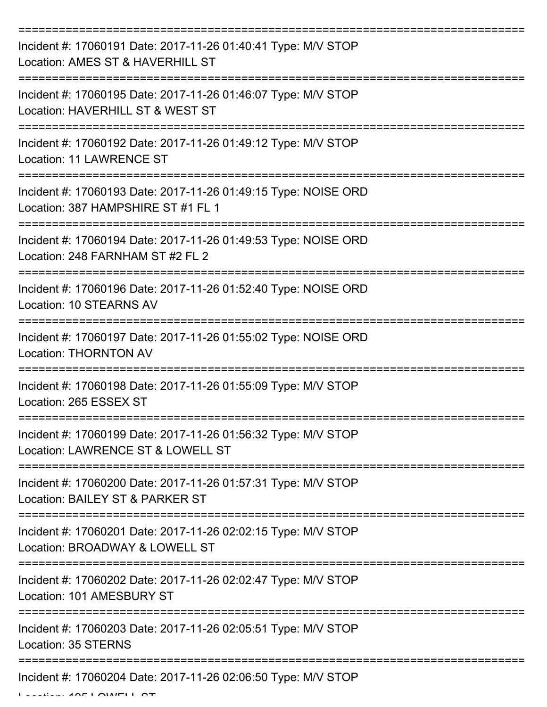| Incident #: 17060191 Date: 2017-11-26 01:40:41 Type: M/V STOP<br>Location: AMES ST & HAVERHILL ST    |
|------------------------------------------------------------------------------------------------------|
| Incident #: 17060195 Date: 2017-11-26 01:46:07 Type: M/V STOP<br>Location: HAVERHILL ST & WEST ST    |
| Incident #: 17060192 Date: 2017-11-26 01:49:12 Type: M/V STOP<br><b>Location: 11 LAWRENCE ST</b>     |
| Incident #: 17060193 Date: 2017-11-26 01:49:15 Type: NOISE ORD<br>Location: 387 HAMPSHIRE ST #1 FL 1 |
| Incident #: 17060194 Date: 2017-11-26 01:49:53 Type: NOISE ORD<br>Location: 248 FARNHAM ST #2 FL 2   |
| Incident #: 17060196 Date: 2017-11-26 01:52:40 Type: NOISE ORD<br>Location: 10 STEARNS AV            |
| Incident #: 17060197 Date: 2017-11-26 01:55:02 Type: NOISE ORD<br><b>Location: THORNTON AV</b>       |
| Incident #: 17060198 Date: 2017-11-26 01:55:09 Type: M/V STOP<br>Location: 265 ESSEX ST              |
| Incident #: 17060199 Date: 2017-11-26 01:56:32 Type: M/V STOP<br>Location: LAWRENCE ST & LOWELL ST   |
| Incident #: 17060200 Date: 2017-11-26 01:57:31 Type: M/V STOP<br>Location: BAILEY ST & PARKER ST     |
| Incident #: 17060201 Date: 2017-11-26 02:02:15 Type: M/V STOP<br>Location: BROADWAY & LOWELL ST      |
| Incident #: 17060202 Date: 2017-11-26 02:02:47 Type: M/V STOP<br>Location: 101 AMESBURY ST           |
| Incident #: 17060203 Date: 2017-11-26 02:05:51 Type: M/V STOP<br>Location: 35 STERNS                 |
| Incident #: 17060204 Date: 2017-11-26 02:06:50 Type: M/V STOP                                        |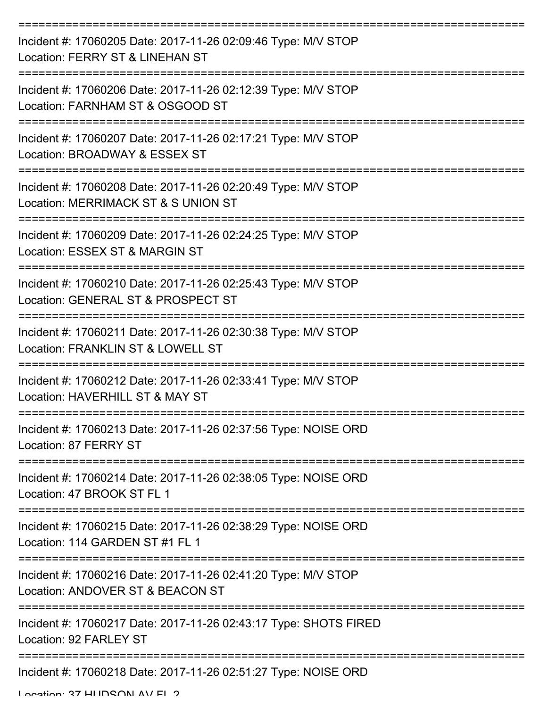| Incident #: 17060205 Date: 2017-11-26 02:09:46 Type: M/V STOP<br><b>Location: FERRY ST &amp; LINEHAN ST</b> |
|-------------------------------------------------------------------------------------------------------------|
| Incident #: 17060206 Date: 2017-11-26 02:12:39 Type: M/V STOP<br>Location: FARNHAM ST & OSGOOD ST           |
| Incident #: 17060207 Date: 2017-11-26 02:17:21 Type: M/V STOP<br>Location: BROADWAY & ESSEX ST              |
| Incident #: 17060208 Date: 2017-11-26 02:20:49 Type: M/V STOP<br>Location: MERRIMACK ST & S UNION ST        |
| Incident #: 17060209 Date: 2017-11-26 02:24:25 Type: M/V STOP<br>Location: ESSEX ST & MARGIN ST             |
| Incident #: 17060210 Date: 2017-11-26 02:25:43 Type: M/V STOP<br>Location: GENERAL ST & PROSPECT ST         |
| Incident #: 17060211 Date: 2017-11-26 02:30:38 Type: M/V STOP<br>Location: FRANKLIN ST & LOWELL ST          |
| Incident #: 17060212 Date: 2017-11-26 02:33:41 Type: M/V STOP<br>Location: HAVERHILL ST & MAY ST            |
| Incident #: 17060213 Date: 2017-11-26 02:37:56 Type: NOISE ORD<br>Location: 87 FERRY ST                     |
| Incident #: 17060214 Date: 2017-11-26 02:38:05 Type: NOISE ORD<br>Location: 47 BROOK ST FL 1                |
| Incident #: 17060215 Date: 2017-11-26 02:38:29 Type: NOISE ORD<br>Location: 114 GARDEN ST #1 FL 1           |
| Incident #: 17060216 Date: 2017-11-26 02:41:20 Type: M/V STOP<br>Location: ANDOVER ST & BEACON ST           |
| Incident #: 17060217 Date: 2017-11-26 02:43:17 Type: SHOTS FIRED<br>Location: 92 FARLEY ST                  |
| Incident #: 17060218 Date: 2017-11-26 02:51:27 Type: NOISE ORD                                              |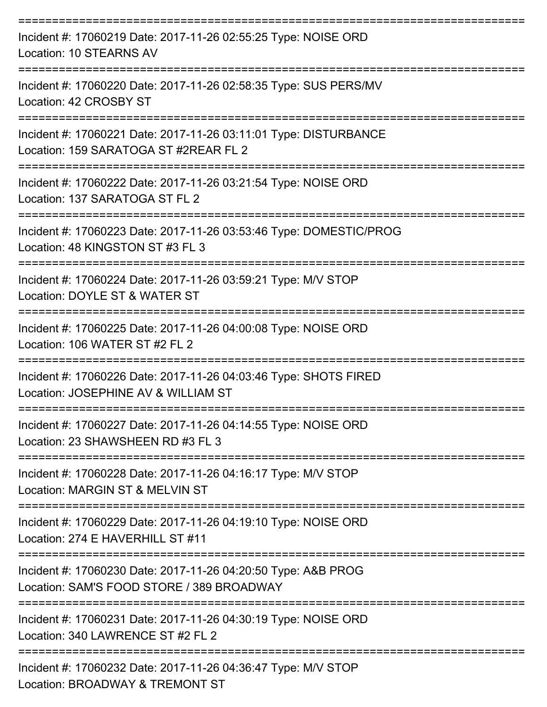| Incident #: 17060219 Date: 2017-11-26 02:55:25 Type: NOISE ORD<br>Location: 10 STEARNS AV                  |
|------------------------------------------------------------------------------------------------------------|
| Incident #: 17060220 Date: 2017-11-26 02:58:35 Type: SUS PERS/MV<br>Location: 42 CROSBY ST                 |
| Incident #: 17060221 Date: 2017-11-26 03:11:01 Type: DISTURBANCE<br>Location: 159 SARATOGA ST #2REAR FL 2  |
| Incident #: 17060222 Date: 2017-11-26 03:21:54 Type: NOISE ORD<br>Location: 137 SARATOGA ST FL 2           |
| Incident #: 17060223 Date: 2017-11-26 03:53:46 Type: DOMESTIC/PROG<br>Location: 48 KINGSTON ST #3 FL 3     |
| Incident #: 17060224 Date: 2017-11-26 03:59:21 Type: M/V STOP<br>Location: DOYLE ST & WATER ST             |
| Incident #: 17060225 Date: 2017-11-26 04:00:08 Type: NOISE ORD<br>Location: 106 WATER ST #2 FL 2           |
| Incident #: 17060226 Date: 2017-11-26 04:03:46 Type: SHOTS FIRED<br>Location: JOSEPHINE AV & WILLIAM ST    |
| Incident #: 17060227 Date: 2017-11-26 04:14:55 Type: NOISE ORD<br>Location: 23 SHAWSHEEN RD #3 FL 3        |
| Incident #: 17060228 Date: 2017-11-26 04:16:17 Type: M/V STOP<br>Location: MARGIN ST & MELVIN ST           |
| Incident #: 17060229 Date: 2017-11-26 04:19:10 Type: NOISE ORD<br>Location: 274 E HAVERHILL ST #11         |
| Incident #: 17060230 Date: 2017-11-26 04:20:50 Type: A&B PROG<br>Location: SAM'S FOOD STORE / 389 BROADWAY |
| Incident #: 17060231 Date: 2017-11-26 04:30:19 Type: NOISE ORD<br>Location: 340 LAWRENCE ST #2 FL 2        |
| Incident #: 17060232 Date: 2017-11-26 04:36:47 Type: M/V STOP<br>Location: BROADWAY & TREMONT ST           |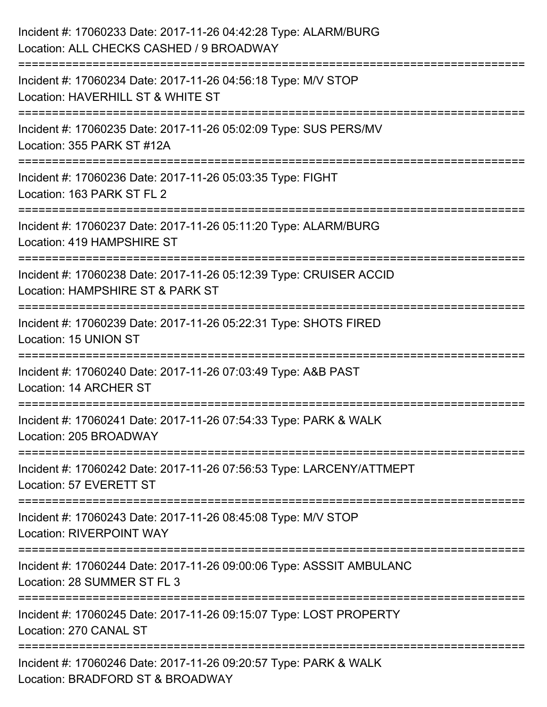| Incident #: 17060233 Date: 2017-11-26 04:42:28 Type: ALARM/BURG<br>Location: ALL CHECKS CASHED / 9 BROADWAY                     |
|---------------------------------------------------------------------------------------------------------------------------------|
| Incident #: 17060234 Date: 2017-11-26 04:56:18 Type: M/V STOP<br>Location: HAVERHILL ST & WHITE ST                              |
| Incident #: 17060235 Date: 2017-11-26 05:02:09 Type: SUS PERS/MV<br>Location: 355 PARK ST #12A<br>======================        |
| Incident #: 17060236 Date: 2017-11-26 05:03:35 Type: FIGHT<br>Location: 163 PARK ST FL 2                                        |
| Incident #: 17060237 Date: 2017-11-26 05:11:20 Type: ALARM/BURG<br>Location: 419 HAMPSHIRE ST                                   |
| Incident #: 17060238 Date: 2017-11-26 05:12:39 Type: CRUISER ACCID<br>Location: HAMPSHIRE ST & PARK ST                          |
| ====================<br>==========<br>Incident #: 17060239 Date: 2017-11-26 05:22:31 Type: SHOTS FIRED<br>Location: 15 UNION ST |
| Incident #: 17060240 Date: 2017-11-26 07:03:49 Type: A&B PAST<br>Location: 14 ARCHER ST                                         |
| Incident #: 17060241 Date: 2017-11-26 07:54:33 Type: PARK & WALK<br>Location: 205 BROADWAY                                      |
| Incident #: 17060242 Date: 2017-11-26 07:56:53 Type: LARCENY/ATTMEPT<br>Location: 57 EVERETT ST                                 |
| Incident #: 17060243 Date: 2017-11-26 08:45:08 Type: M/V STOP<br><b>Location: RIVERPOINT WAY</b>                                |
| Incident #: 17060244 Date: 2017-11-26 09:00:06 Type: ASSSIT AMBULANC<br>Location: 28 SUMMER ST FL 3                             |
| Incident #: 17060245 Date: 2017-11-26 09:15:07 Type: LOST PROPERTY<br>Location: 270 CANAL ST                                    |
| Incident #: 17060246 Date: 2017-11-26 09:20:57 Type: PARK & WALK<br>Location: BRADFORD ST & BROADWAY                            |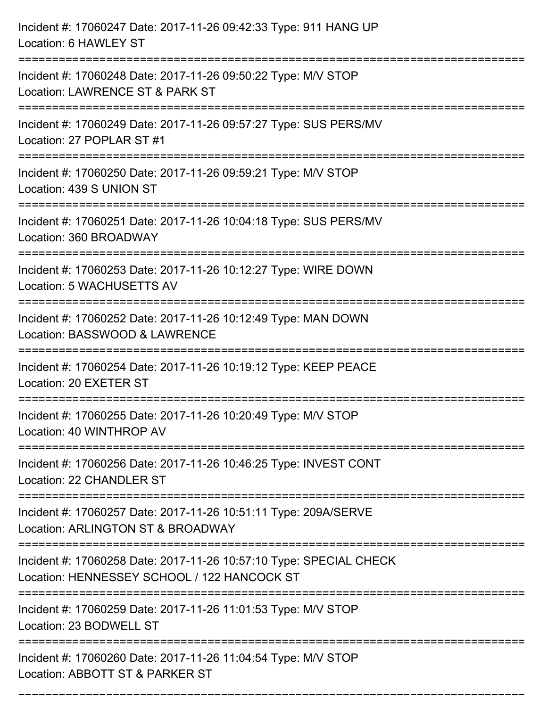| Incident #: 17060247 Date: 2017-11-26 09:42:33 Type: 911 HANG UP<br>Location: 6 HAWLEY ST                         |
|-------------------------------------------------------------------------------------------------------------------|
| Incident #: 17060248 Date: 2017-11-26 09:50:22 Type: M/V STOP<br>Location: LAWRENCE ST & PARK ST                  |
| Incident #: 17060249 Date: 2017-11-26 09:57:27 Type: SUS PERS/MV<br>Location: 27 POPLAR ST #1                     |
| Incident #: 17060250 Date: 2017-11-26 09:59:21 Type: M/V STOP<br>Location: 439 S UNION ST                         |
| Incident #: 17060251 Date: 2017-11-26 10:04:18 Type: SUS PERS/MV<br>Location: 360 BROADWAY                        |
| Incident #: 17060253 Date: 2017-11-26 10:12:27 Type: WIRE DOWN<br>Location: 5 WACHUSETTS AV                       |
| Incident #: 17060252 Date: 2017-11-26 10:12:49 Type: MAN DOWN<br>Location: BASSWOOD & LAWRENCE                    |
| Incident #: 17060254 Date: 2017-11-26 10:19:12 Type: KEEP PEACE<br>Location: 20 EXETER ST                         |
| Incident #: 17060255 Date: 2017-11-26 10:20:49 Type: M/V STOP<br>Location: 40 WINTHROP AV                         |
| Incident #: 17060256 Date: 2017-11-26 10:46:25 Type: INVEST CONT<br>Location: 22 CHANDLER ST                      |
| Incident #: 17060257 Date: 2017-11-26 10:51:11 Type: 209A/SERVE<br>Location: ARLINGTON ST & BROADWAY              |
| Incident #: 17060258 Date: 2017-11-26 10:57:10 Type: SPECIAL CHECK<br>Location: HENNESSEY SCHOOL / 122 HANCOCK ST |
| Incident #: 17060259 Date: 2017-11-26 11:01:53 Type: M/V STOP<br>Location: 23 BODWELL ST                          |
| Incident #: 17060260 Date: 2017-11-26 11:04:54 Type: M/V STOP<br>Location: ABBOTT ST & PARKER ST                  |

===========================================================================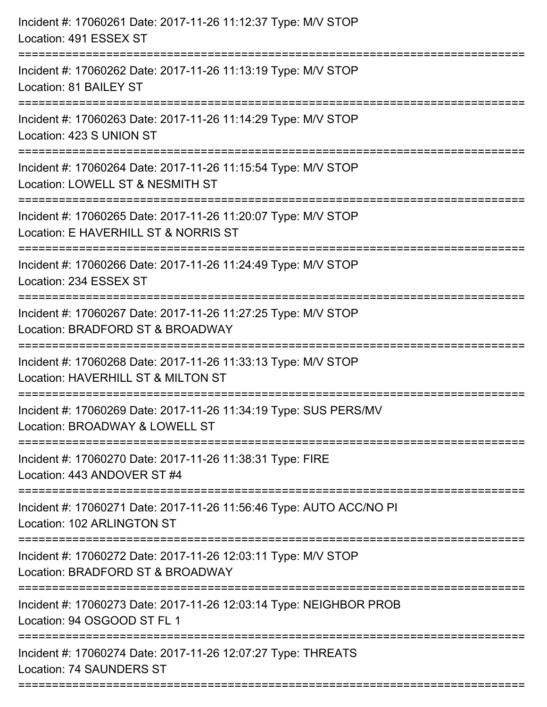| Incident #: 17060261 Date: 2017-11-26 11:12:37 Type: M/V STOP<br>Location: 491 ESSEX ST               |
|-------------------------------------------------------------------------------------------------------|
| Incident #: 17060262 Date: 2017-11-26 11:13:19 Type: M/V STOP<br>Location: 81 BAILEY ST               |
| Incident #: 17060263 Date: 2017-11-26 11:14:29 Type: M/V STOP<br>Location: 423 S UNION ST             |
| Incident #: 17060264 Date: 2017-11-26 11:15:54 Type: M/V STOP<br>Location: LOWELL ST & NESMITH ST     |
| Incident #: 17060265 Date: 2017-11-26 11:20:07 Type: M/V STOP<br>Location: E HAVERHILL ST & NORRIS ST |
| Incident #: 17060266 Date: 2017-11-26 11:24:49 Type: M/V STOP<br>Location: 234 ESSEX ST               |
| Incident #: 17060267 Date: 2017-11-26 11:27:25 Type: M/V STOP<br>Location: BRADFORD ST & BROADWAY     |
| Incident #: 17060268 Date: 2017-11-26 11:33:13 Type: M/V STOP<br>Location: HAVERHILL ST & MILTON ST   |
| Incident #: 17060269 Date: 2017-11-26 11:34:19 Type: SUS PERS/MV<br>Location: BROADWAY & LOWELL ST    |
| Incident #: 17060270 Date: 2017-11-26 11:38:31 Type: FIRE<br>Location: 443 ANDOVER ST #4              |
| Incident #: 17060271 Date: 2017-11-26 11:56:46 Type: AUTO ACC/NO PI<br>Location: 102 ARLINGTON ST     |
| Incident #: 17060272 Date: 2017-11-26 12:03:11 Type: M/V STOP<br>Location: BRADFORD ST & BROADWAY     |
| Incident #: 17060273 Date: 2017-11-26 12:03:14 Type: NEIGHBOR PROB<br>Location: 94 OSGOOD ST FL 1     |
| Incident #: 17060274 Date: 2017-11-26 12:07:27 Type: THREATS<br>Location: 74 SAUNDERS ST              |
|                                                                                                       |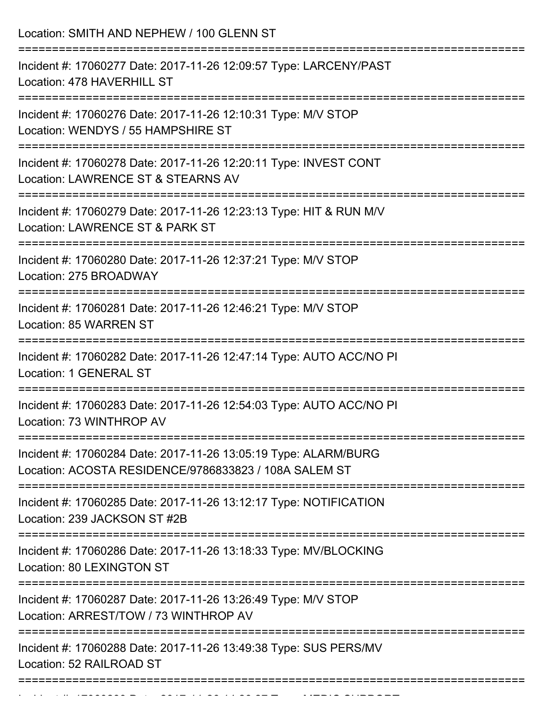| Location: SMITH AND NEPHEW / 100 GLENN ST<br>==============================                                                             |
|-----------------------------------------------------------------------------------------------------------------------------------------|
| Incident #: 17060277 Date: 2017-11-26 12:09:57 Type: LARCENY/PAST<br>Location: 478 HAVERHILL ST                                         |
| Incident #: 17060276 Date: 2017-11-26 12:10:31 Type: M/V STOP<br>Location: WENDYS / 55 HAMPSHIRE ST<br>---------------------            |
| Incident #: 17060278 Date: 2017-11-26 12:20:11 Type: INVEST CONT<br>Location: LAWRENCE ST & STEARNS AV<br>----------------------------- |
| Incident #: 17060279 Date: 2017-11-26 12:23:13 Type: HIT & RUN M/V<br>Location: LAWRENCE ST & PARK ST                                   |
| Incident #: 17060280 Date: 2017-11-26 12:37:21 Type: M/V STOP<br>Location: 275 BROADWAY                                                 |
| Incident #: 17060281 Date: 2017-11-26 12:46:21 Type: M/V STOP<br><b>Location: 85 WARREN ST</b>                                          |
| Incident #: 17060282 Date: 2017-11-26 12:47:14 Type: AUTO ACC/NO PI<br>Location: 1 GENERAL ST                                           |
| Incident #: 17060283 Date: 2017-11-26 12:54:03 Type: AUTO ACC/NO PI<br>Location: 73 WINTHROP AV                                         |
| Incident #: 17060284 Date: 2017-11-26 13:05:19 Type: ALARM/BURG<br>Location: ACOSTA RESIDENCE/9786833823 / 108A SALEM ST                |
| Incident #: 17060285 Date: 2017-11-26 13:12:17 Type: NOTIFICATION<br>Location: 239 JACKSON ST #2B                                       |
| Incident #: 17060286 Date: 2017-11-26 13:18:33 Type: MV/BLOCKING<br>Location: 80 LEXINGTON ST                                           |
| Incident #: 17060287 Date: 2017-11-26 13:26:49 Type: M/V STOP<br>Location: ARREST/TOW / 73 WINTHROP AV                                  |
| Incident #: 17060288 Date: 2017-11-26 13:49:38 Type: SUS PERS/MV<br>Location: 52 RAILROAD ST                                            |

Incident #: 17060289 Date: 2017 11 26 14:26:27 Type: MEDIC SUPPORT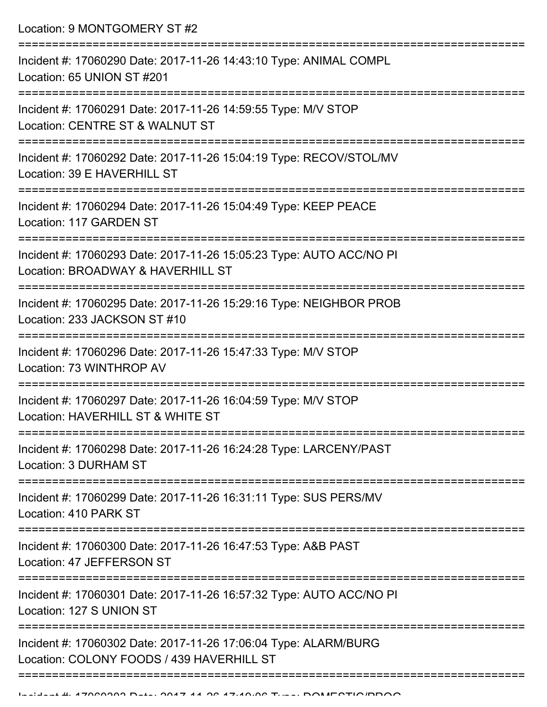Location: 9 MONTGOMERY ST #2 =========================================================================== Incident #: 17060290 Date: 2017-11-26 14:43:10 Type: ANIMAL COMPL Location: 65 UNION ST #201 =========================================================================== Incident #: 17060291 Date: 2017-11-26 14:59:55 Type: M/V STOP Location: CENTRE ST & WALNUT ST =========================================================================== Incident #: 17060292 Date: 2017-11-26 15:04:19 Type: RECOV/STOL/MV Location: 39 E HAVERHILL ST =========================================================================== Incident #: 17060294 Date: 2017-11-26 15:04:49 Type: KEEP PEACE Location: 117 GARDEN ST =========================================================================== Incident #: 17060293 Date: 2017-11-26 15:05:23 Type: AUTO ACC/NO PI Location: BROADWAY & HAVERHILL ST =========================================================================== Incident #: 17060295 Date: 2017-11-26 15:29:16 Type: NEIGHBOR PROB Location: 233 JACKSON ST #10 =========================================================================== Incident #: 17060296 Date: 2017-11-26 15:47:33 Type: M/V STOP Location: 73 WINTHROP AV =========================================================================== Incident #: 17060297 Date: 2017-11-26 16:04:59 Type: M/V STOP Location: HAVERHILL ST & WHITE ST =========================================================================== Incident #: 17060298 Date: 2017-11-26 16:24:28 Type: LARCENY/PAST Location: 3 DURHAM ST =========================================================================== Incident #: 17060299 Date: 2017-11-26 16:31:11 Type: SUS PERS/MV Location: 410 PARK ST =========================================================================== Incident #: 17060300 Date: 2017-11-26 16:47:53 Type: A&B PAST Location: 47 JEFFERSON ST =========================================================================== Incident #: 17060301 Date: 2017-11-26 16:57:32 Type: AUTO ACC/NO PI Location: 127 S UNION ST =========================================================================== Incident #: 17060302 Date: 2017-11-26 17:06:04 Type: ALARM/BURG Location: COLONY FOODS / 439 HAVERHILL ST ===========================================================================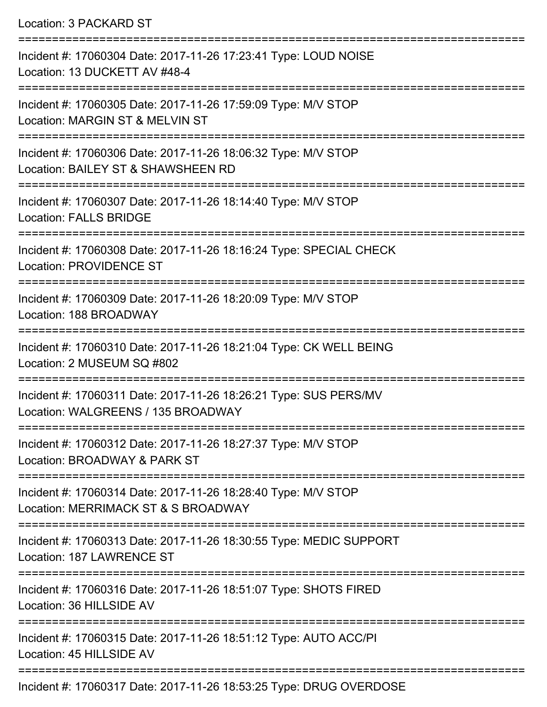Location: 3 PACKARD ST =========================================================================== Incident #: 17060304 Date: 2017-11-26 17:23:41 Type: LOUD NOISE Location: 13 DUCKETT AV #48-4 =========================================================================== Incident #: 17060305 Date: 2017-11-26 17:59:09 Type: M/V STOP Location: MARGIN ST & MELVIN ST =========================================================================== Incident #: 17060306 Date: 2017-11-26 18:06:32 Type: M/V STOP Location: BAILEY ST & SHAWSHEEN RD =========================================================================== Incident #: 17060307 Date: 2017-11-26 18:14:40 Type: M/V STOP Location: FALLS BRIDGE =========================================================================== Incident #: 17060308 Date: 2017-11-26 18:16:24 Type: SPECIAL CHECK Location: PROVIDENCE ST =========================================================================== Incident #: 17060309 Date: 2017-11-26 18:20:09 Type: M/V STOP Location: 188 BROADWAY =========================================================================== Incident #: 17060310 Date: 2017-11-26 18:21:04 Type: CK WELL BEING Location: 2 MUSEUM SQ #802 =========================================================================== Incident #: 17060311 Date: 2017-11-26 18:26:21 Type: SUS PERS/MV Location: WALGREENS / 135 BROADWAY =========================================================================== Incident #: 17060312 Date: 2017-11-26 18:27:37 Type: M/V STOP Location: BROADWAY & PARK ST =========================================================================== Incident #: 17060314 Date: 2017-11-26 18:28:40 Type: M/V STOP Location: MERRIMACK ST & S BROADWAY =========================================================================== Incident #: 17060313 Date: 2017-11-26 18:30:55 Type: MEDIC SUPPORT Location: 187 LAWRENCE ST =========================================================================== Incident #: 17060316 Date: 2017-11-26 18:51:07 Type: SHOTS FIRED Location: 36 HILLSIDE AV =========================================================================== Incident #: 17060315 Date: 2017-11-26 18:51:12 Type: AUTO ACC/PI Location: 45 HILLSIDE AV ===========================================================================

Incident #: 17060317 Date: 2017-11-26 18:53:25 Type: DRUG OVERDOSE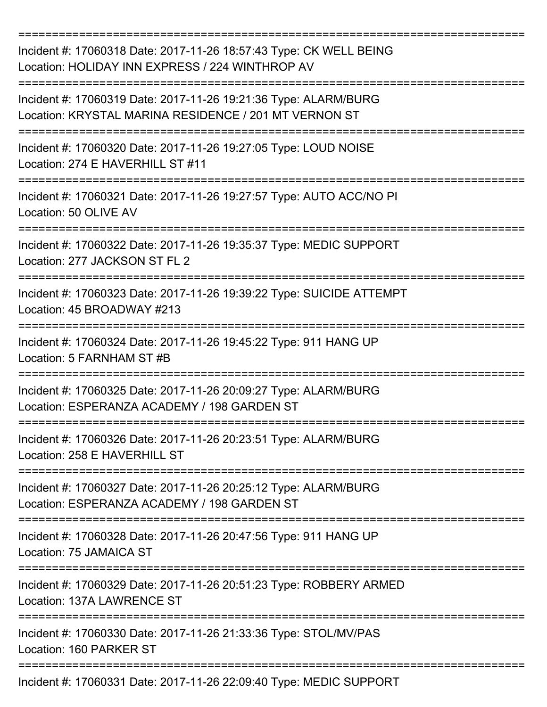| Incident #: 17060318 Date: 2017-11-26 18:57:43 Type: CK WELL BEING<br>Location: HOLIDAY INN EXPRESS / 224 WINTHROP AV    |
|--------------------------------------------------------------------------------------------------------------------------|
| Incident #: 17060319 Date: 2017-11-26 19:21:36 Type: ALARM/BURG<br>Location: KRYSTAL MARINA RESIDENCE / 201 MT VERNON ST |
| Incident #: 17060320 Date: 2017-11-26 19:27:05 Type: LOUD NOISE<br>Location: 274 E HAVERHILL ST #11                      |
| Incident #: 17060321 Date: 2017-11-26 19:27:57 Type: AUTO ACC/NO PI<br>Location: 50 OLIVE AV                             |
| Incident #: 17060322 Date: 2017-11-26 19:35:37 Type: MEDIC SUPPORT<br>Location: 277 JACKSON ST FL 2                      |
| Incident #: 17060323 Date: 2017-11-26 19:39:22 Type: SUICIDE ATTEMPT<br>Location: 45 BROADWAY #213                       |
| Incident #: 17060324 Date: 2017-11-26 19:45:22 Type: 911 HANG UP<br>Location: 5 FARNHAM ST #B                            |
| Incident #: 17060325 Date: 2017-11-26 20:09:27 Type: ALARM/BURG<br>Location: ESPERANZA ACADEMY / 198 GARDEN ST           |
| Incident #: 17060326 Date: 2017-11-26 20:23:51 Type: ALARM/BURG<br>Location: 258 E HAVERHILL ST                          |
| Incident #: 17060327 Date: 2017-11-26 20:25:12 Type: ALARM/BURG<br>Location: ESPERANZA ACADEMY / 198 GARDEN ST           |
| Incident #: 17060328 Date: 2017-11-26 20:47:56 Type: 911 HANG UP<br>Location: 75 JAMAICA ST                              |
| Incident #: 17060329 Date: 2017-11-26 20:51:23 Type: ROBBERY ARMED<br>Location: 137A LAWRENCE ST                         |
| Incident #: 17060330 Date: 2017-11-26 21:33:36 Type: STOL/MV/PAS<br>Location: 160 PARKER ST                              |
| Incident #: 17060331 Date: 2017-11-26 22:09:40 Type: MEDIC SUPPORT                                                       |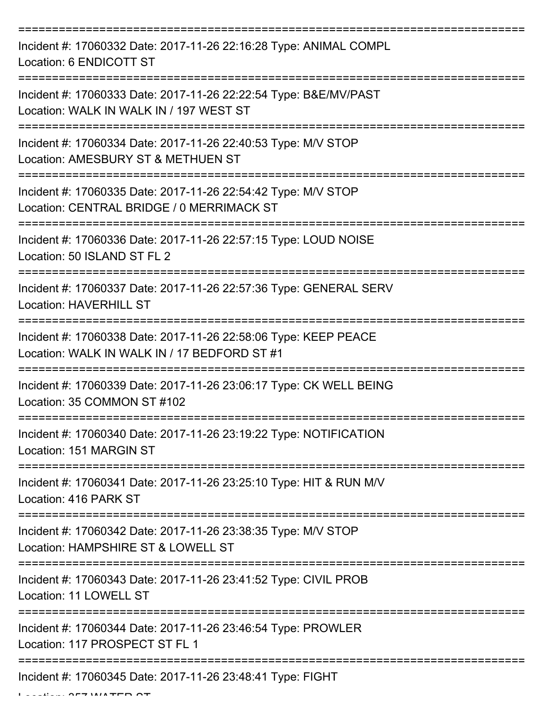| Incident #: 17060332 Date: 2017-11-26 22:16:28 Type: ANIMAL COMPL<br>Location: 6 ENDICOTT ST                    |
|-----------------------------------------------------------------------------------------------------------------|
| Incident #: 17060333 Date: 2017-11-26 22:22:54 Type: B&E/MV/PAST<br>Location: WALK IN WALK IN / 197 WEST ST     |
| Incident #: 17060334 Date: 2017-11-26 22:40:53 Type: M/V STOP<br>Location: AMESBURY ST & METHUEN ST             |
| Incident #: 17060335 Date: 2017-11-26 22:54:42 Type: M/V STOP<br>Location: CENTRAL BRIDGE / 0 MERRIMACK ST      |
| Incident #: 17060336 Date: 2017-11-26 22:57:15 Type: LOUD NOISE<br>Location: 50 ISLAND ST FL 2                  |
| Incident #: 17060337 Date: 2017-11-26 22:57:36 Type: GENERAL SERV<br><b>Location: HAVERHILL ST</b>              |
| Incident #: 17060338 Date: 2017-11-26 22:58:06 Type: KEEP PEACE<br>Location: WALK IN WALK IN / 17 BEDFORD ST #1 |
| Incident #: 17060339 Date: 2017-11-26 23:06:17 Type: CK WELL BEING<br>Location: 35 COMMON ST #102               |
| Incident #: 17060340 Date: 2017-11-26 23:19:22 Type: NOTIFICATION<br>Location: 151 MARGIN ST                    |
| Incident #: 17060341 Date: 2017-11-26 23:25:10 Type: HIT & RUN M/V<br>Location: 416 PARK ST                     |
| Incident #: 17060342 Date: 2017-11-26 23:38:35 Type: M/V STOP<br>Location: HAMPSHIRE ST & LOWELL ST             |
| Incident #: 17060343 Date: 2017-11-26 23:41:52 Type: CIVIL PROB<br>Location: 11 LOWELL ST                       |
| Incident #: 17060344 Date: 2017-11-26 23:46:54 Type: PROWLER<br>Location: 117 PROSPECT ST FL 1                  |
| Incident #: 17060345 Date: 2017-11-26 23:48:41 Type: FIGHT                                                      |